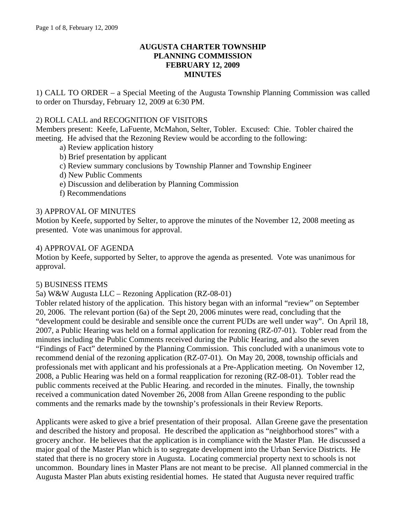#### **AUGUSTA CHARTER TOWNSHIP PLANNING COMMISSION FEBRUARY 12, 2009 MINUTES**

1) CALL TO ORDER – a Special Meeting of the Augusta Township Planning Commission was called to order on Thursday, February 12, 2009 at 6:30 PM.

#### 2) ROLL CALL and RECOGNITION OF VISITORS

Members present: Keefe, LaFuente, McMahon, Selter, Tobler. Excused: Chie. Tobler chaired the meeting. He advised that the Rezoning Review would be according to the following:

- a) Review application history
- b) Brief presentation by applicant
- c) Review summary conclusions by Township Planner and Township Engineer
- d) New Public Comments
- e) Discussion and deliberation by Planning Commission
- f) Recommendations

#### 3) APPROVAL OF MINUTES

Motion by Keefe, supported by Selter, to approve the minutes of the November 12, 2008 meeting as presented. Vote was unanimous for approval.

#### 4) APPROVAL OF AGENDA

Motion by Keefe, supported by Selter, to approve the agenda as presented. Vote was unanimous for approval.

#### 5) BUSINESS ITEMS

5a) W&W Augusta LLC – Rezoning Application (RZ-08-01)

Tobler related history of the application. This history began with an informal "review" on September 20, 2006. The relevant portion (6a) of the Sept 20, 2006 minutes were read, concluding that the "development could be desirable and sensible once the current PUDs are well under way". On April 18, 2007, a Public Hearing was held on a formal application for rezoning (RZ-07-01). Tobler read from the minutes including the Public Comments received during the Public Hearing, and also the seven "Findings of Fact" determined by the Planning Commission. This concluded with a unanimous vote to recommend denial of the rezoning application (RZ-07-01). On May 20, 2008, township officials and professionals met with applicant and his professionals at a Pre-Application meeting. On November 12, 2008, a Public Hearing was held on a formal reapplication for rezoning (RZ-08-01). Tobler read the public comments received at the Public Hearing. and recorded in the minutes. Finally, the township received a communication dated November 26, 2008 from Allan Greene responding to the public comments and the remarks made by the township's professionals in their Review Reports.

Applicants were asked to give a brief presentation of their proposal. Allan Greene gave the presentation and described the history and proposal. He described the application as "neighborhood stores" with a grocery anchor. He believes that the application is in compliance with the Master Plan. He discussed a major goal of the Master Plan which is to segregate development into the Urban Service Districts. He stated that there is no grocery store in Augusta. Locating commercial property next to schools is not uncommon. Boundary lines in Master Plans are not meant to be precise. All planned commercial in the Augusta Master Plan abuts existing residential homes. He stated that Augusta never required traffic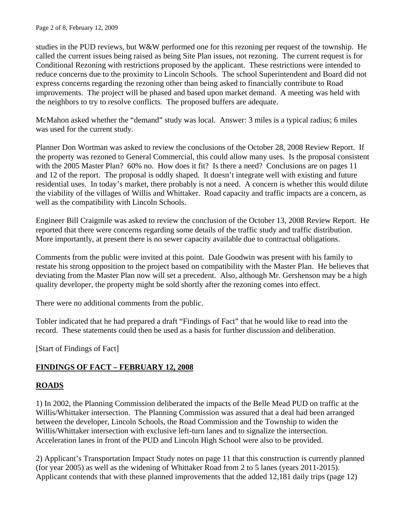studies in the PUD reviews, but W&W performed one for this rezoning per request of the township. He called the current issues being raised as being Site Plan issues, not rezoning. The current request is for Conditional Rezoning with restrictions proposed by the applicant. These restrictions were intended to reduce concerns due to the proximity to Lincoln Schools. The school Superintendent and Board did not express concerns regarding the rezoning other than being asked to financially contribute to Road improvements. The project will be phased and based upon market demand. A meeting was held with the neighbors to try to resolve conflicts. The proposed buffers are adequate.

McMahon asked whether the "demand" study was local. Answer: 3 miles is a typical radius; 6 miles was used for the current study.

Planner Don Wortman was asked to review the conclusions of the October 28, 2008 Review Report. If the property was rezoned to General Commercial, this could allow many uses. Is the proposal consistent with the 2005 Master Plan? 60% no. How does it fit? Is there a need? Conclusions are on pages 11 and 12 of the report. The proposal is oddly shaped. It doesn't integrate well with existing and future residential uses. In today's market, there probably is not a need. A concern is whether this would dilute the viability of the villages of Willis and Whittaker. Road capacity and traffic impacts are a concern, as well as the compatibility with Lincoln Schools.

Engineer Bill Craigmile was asked to review the conclusion of the October 13, 2008 Review Report. He reported that there were concerns regarding some details of the traffic study and traffic distribution. More importantly, at present there is no sewer capacity available due to contractual obligations.

Comments from the public were invited at this point. Dale Goodwin was present with his family to restate his strong opposition to the project based on compatibility with the Master Plan. He believes that deviating from the Master Plan now will set a precedent. Also, although Mr. Gershenson may be a high quality developer, the property might be sold shortly after the rezoning comes into effect.

There were no additional comments from the public.

Tobler indicated that he had prepared a draft "Findings of Fact" that he would like to read into the record. These statements could then be used as a basis for further discussion and deliberation.

[Start of Findings of Fact]

# **FINDINGS OF FACT – FEBRUARY 12, 2008**

# **ROADS**

1) In 2002, the Planning Commission deliberated the impacts of the Belle Mead PUD on traffic at the Willis/Whittaker intersection. The Planning Commission was assured that a deal had been arranged between the developer, Lincoln Schools, the Road Commission and the Township to widen the Willis/Whittaker intersection with exclusive left-turn lanes and to signalize the intersection. Acceleration lanes in front of the PUD and Lincoln High School were also to be provided.

2) Applicant's Transportation Impact Study notes on page 11 that this construction is currently planned (for year 2005) as well as the widening of Whittaker Road from 2 to 5 lanes (years 2011-2015). Applicant contends that with these planned improvements that the added 12,181 daily trips (page 12)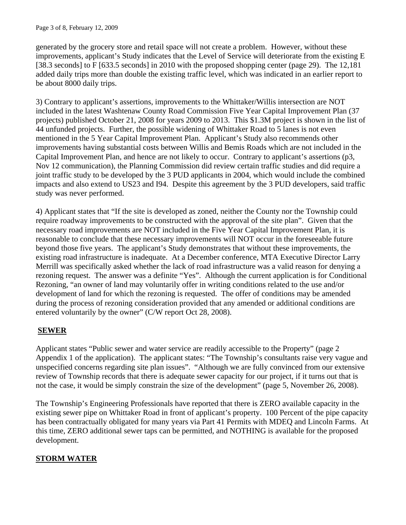generated by the grocery store and retail space will not create a problem. However, without these improvements, applicant's Study indicates that the Level of Service will deteriorate from the existing E [38.3 seconds] to F [633.5 seconds] in 2010 with the proposed shopping center (page 29). The 12,181 added daily trips more than double the existing traffic level, which was indicated in an earlier report to be about 8000 daily trips.

3) Contrary to applicant's assertions, improvements to the Whittaker/Willis intersection are NOT included in the latest Washtenaw County Road Commission Five Year Capital Improvement Plan (37 projects) published October 21, 2008 for years 2009 to 2013. This \$1.3M project is shown in the list of 44 unfunded projects. Further, the possible widening of Whittaker Road to 5 lanes is not even mentioned in the 5 Year Capital Improvement Plan. Applicant's Study also recommends other improvements having substantial costs between Willis and Bemis Roads which are not included in the Capital Improvement Plan, and hence are not likely to occur. Contrary to applicant's assertions (p3, Nov 12 communication), the Planning Commission did review certain traffic studies and did require a joint traffic study to be developed by the 3 PUD applicants in 2004, which would include the combined impacts and also extend to US23 and I94. Despite this agreement by the 3 PUD developers, said traffic study was never performed.

4) Applicant states that "If the site is developed as zoned, neither the County nor the Township could require roadway improvements to be constructed with the approval of the site plan". Given that the necessary road improvements are NOT included in the Five Year Capital Improvement Plan, it is reasonable to conclude that these necessary improvements will NOT occur in the foreseeable future beyond those five years. The applicant's Study demonstrates that without these improvements, the existing road infrastructure is inadequate. At a December conference, MTA Executive Director Larry Merrill was specifically asked whether the lack of road infrastructure was a valid reason for denying a rezoning request. The answer was a definite "Yes". Although the current application is for Conditional Rezoning, "an owner of land may voluntarily offer in writing conditions related to the use and/or development of land for which the rezoning is requested. The offer of conditions may be amended during the process of rezoning consideration provided that any amended or additional conditions are entered voluntarily by the owner" (C/W report Oct 28, 2008).

# **SEWER**

Applicant states "Public sewer and water service are readily accessible to the Property" (page 2 Appendix 1 of the application). The applicant states: "The Township's consultants raise very vague and unspecified concerns regarding site plan issues". "Although we are fully convinced from our extensive review of Township records that there is adequate sewer capacity for our project, if it turns out that is not the case, it would be simply constrain the size of the development" (page 5, November 26, 2008).

The Township's Engineering Professionals have reported that there is ZERO available capacity in the existing sewer pipe on Whittaker Road in front of applicant's property. 100 Percent of the pipe capacity has been contractually obligated for many years via Part 41 Permits with MDEQ and Lincoln Farms. At this time, ZERO additional sewer taps can be permitted, and NOTHING is available for the proposed development.

# **STORM WATER**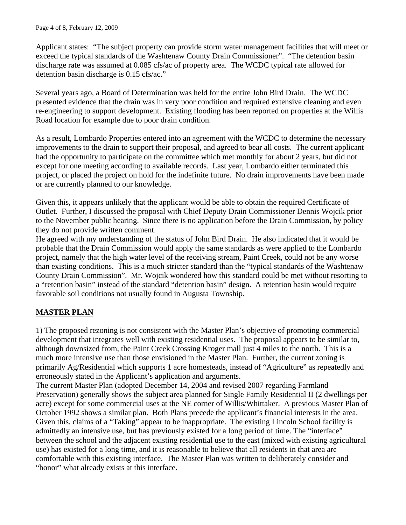Applicant states: "The subject property can provide storm water management facilities that will meet or exceed the typical standards of the Washtenaw County Drain Commissioner". "The detention basin discharge rate was assumed at 0.085 cfs/ac of property area. The WCDC typical rate allowed for detention basin discharge is 0.15 cfs/ac."

Several years ago, a Board of Determination was held for the entire John Bird Drain. The WCDC presented evidence that the drain was in very poor condition and required extensive cleaning and even re-engineering to support development. Existing flooding has been reported on properties at the Willis Road location for example due to poor drain condition.

As a result, Lombardo Properties entered into an agreement with the WCDC to determine the necessary improvements to the drain to support their proposal, and agreed to bear all costs. The current applicant had the opportunity to participate on the committee which met monthly for about 2 years, but did not except for one meeting according to available records. Last year, Lombardo either terminated this project, or placed the project on hold for the indefinite future. No drain improvements have been made or are currently planned to our knowledge.

Given this, it appears unlikely that the applicant would be able to obtain the required Certificate of Outlet. Further, I discussed the proposal with Chief Deputy Drain Commissioner Dennis Wojcik prior to the November public hearing. Since there is no application before the Drain Commission, by policy they do not provide written comment.

He agreed with my understanding of the status of John Bird Drain. He also indicated that it would be probable that the Drain Commission would apply the same standards as were applied to the Lombardo project, namely that the high water level of the receiving stream, Paint Creek, could not be any worse than existing conditions. This is a much stricter standard than the "typical standards of the Washtenaw County Drain Commission". Mr. Wojcik wondered how this standard could be met without resorting to a "retention basin" instead of the standard "detention basin" design. A retention basin would require favorable soil conditions not usually found in Augusta Township.

# **MASTER PLAN**

1) The proposed rezoning is not consistent with the Master Plan's objective of promoting commercial development that integrates well with existing residential uses. The proposal appears to be similar to, although downsized from, the Paint Creek Crossing Kroger mall just 4 miles to the north. This is a much more intensive use than those envisioned in the Master Plan. Further, the current zoning is primarily Ag/Residential which supports 1 acre homesteads, instead of "Agriculture" as repeatedly and erroneously stated in the Applicant's application and arguments.

The current Master Plan (adopted December 14, 2004 and revised 2007 regarding Farmland Preservation) generally shows the subject area planned for Single Family Residential II (2 dwellings per acre) except for some commercial uses at the NE corner of Willis/Whittaker. A previous Master Plan of October 1992 shows a similar plan. Both Plans precede the applicant's financial interests in the area. Given this, claims of a "Taking" appear to be inappropriate. The existing Lincoln School facility is admittedly an intensive use, but has previously existed for a long period of time. The "interface" between the school and the adjacent existing residential use to the east (mixed with existing agricultural use) has existed for a long time, and it is reasonable to believe that all residents in that area are comfortable with this existing interface. The Master Plan was written to deliberately consider and "honor" what already exists at this interface.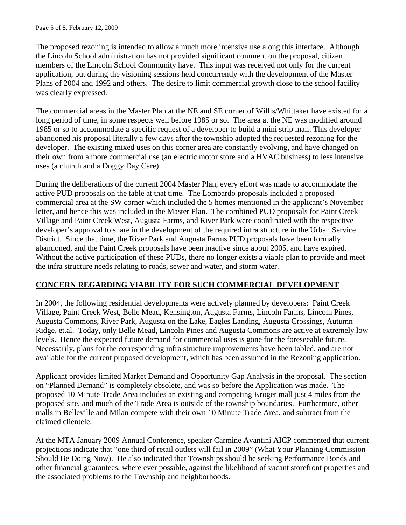The proposed rezoning is intended to allow a much more intensive use along this interface. Although the Lincoln School administration has not provided significant comment on the proposal, citizen members of the Lincoln School Community have. This input was received not only for the current application, but during the visioning sessions held concurrently with the development of the Master Plans of 2004 and 1992 and others. The desire to limit commercial growth close to the school facility was clearly expressed.

The commercial areas in the Master Plan at the NE and SE corner of Willis/Whittaker have existed for a long period of time, in some respects well before 1985 or so. The area at the NE was modified around 1985 or so to accommodate a specific request of a developer to build a mini strip mall. This developer abandoned his proposal literally a few days after the township adopted the requested rezoning for the developer. The existing mixed uses on this corner area are constantly evolving, and have changed on their own from a more commercial use (an electric motor store and a HVAC business) to less intensive uses (a church and a Doggy Day Care).

During the deliberations of the current 2004 Master Plan, every effort was made to accommodate the active PUD proposals on the table at that time. The Lombardo proposals included a proposed commercial area at the SW corner which included the 5 homes mentioned in the applicant's November letter, and hence this was included in the Master Plan. The combined PUD proposals for Paint Creek Village and Paint Creek West, Augusta Farms, and River Park were coordinated with the respective developer's approval to share in the development of the required infra structure in the Urban Service District. Since that time, the River Park and Augusta Farms PUD proposals have been formally abandoned, and the Paint Creek proposals have been inactive since about 2005, and have expired. Without the active participation of these PUDs, there no longer exists a viable plan to provide and meet the infra structure needs relating to roads, sewer and water, and storm water.

### **CONCERN REGARDING VIABILITY FOR SUCH COMMERCIAL DEVELOPMENT**

In 2004, the following residential developments were actively planned by developers: Paint Creek Village, Paint Creek West, Belle Mead, Kensington, Augusta Farms, Lincoln Farms, Lincoln Pines, Augusta Commons, River Park, Augusta on the Lake, Eagles Landing, Augusta Crossings, Autumn Ridge, et.al. Today, only Belle Mead, Lincoln Pines and Augusta Commons are active at extremely low levels. Hence the expected future demand for commercial uses is gone for the foreseeable future. Necessarily, plans for the corresponding infra structure improvements have been tabled, and are not available for the current proposed development, which has been assumed in the Rezoning application.

Applicant provides limited Market Demand and Opportunity Gap Analysis in the proposal. The section on "Planned Demand" is completely obsolete, and was so before the Application was made. The proposed 10 Minute Trade Area includes an existing and competing Kroger mall just 4 miles from the proposed site, and much of the Trade Area is outside of the township boundaries. Furthermore, other malls in Belleville and Milan compete with their own 10 Minute Trade Area, and subtract from the claimed clientele.

At the MTA January 2009 Annual Conference, speaker Carmine Avantini AICP commented that current projections indicate that "one third of retail outlets will fail in 2009" (What Your Planning Commission Should Be Doing Now). He also indicated that Townships should be seeking Performance Bonds and other financial guarantees, where ever possible, against the likelihood of vacant storefront properties and the associated problems to the Township and neighborhoods.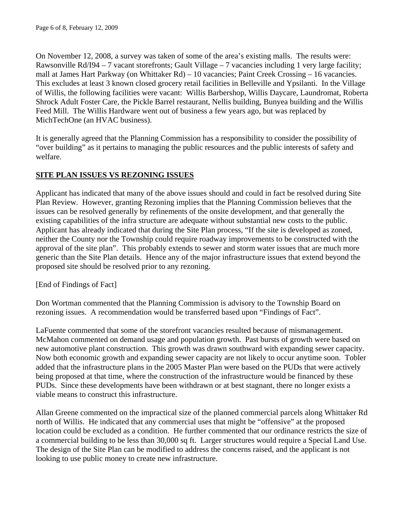On November 12, 2008, a survey was taken of some of the area's existing malls. The results were: Rawsonville Rd/I94 – 7 vacant storefronts; Gault Village – 7 vacancies including 1 very large facility; mall at James Hart Parkway (on Whittaker Rd) – 10 vacancies; Paint Creek Crossing – 16 vacancies. This excludes at least 3 known closed grocery retail facilities in Belleville and Ypsilanti. In the Village of Willis, the following facilities were vacant: Willis Barbershop, Willis Daycare, Laundromat, Roberta Shrock Adult Foster Care, the Pickle Barrel restaurant, Nellis building, Bunyea building and the Willis Feed Mill. The Willis Hardware went out of business a few years ago, but was replaced by MichTechOne (an HVAC business).

It is generally agreed that the Planning Commission has a responsibility to consider the possibility of "over building" as it pertains to managing the public resources and the public interests of safety and welfare.

## **SITE PLAN ISSUES VS REZONING ISSUES**

Applicant has indicated that many of the above issues should and could in fact be resolved during Site Plan Review. However, granting Rezoning implies that the Planning Commission believes that the issues can be resolved generally by refinements of the onsite development, and that generally the existing capabilities of the infra structure are adequate without substantial new costs to the public. Applicant has already indicated that during the Site Plan process, "If the site is developed as zoned, neither the County nor the Township could require roadway improvements to be constructed with the approval of the site plan". This probably extends to sewer and storm water issues that are much more generic than the Site Plan details. Hence any of the major infrastructure issues that extend beyond the proposed site should be resolved prior to any rezoning.

[End of Findings of Fact]

Don Wortman commented that the Planning Commission is advisory to the Township Board on rezoning issues. A recommendation would be transferred based upon "Findings of Fact".

LaFuente commented that some of the storefront vacancies resulted because of mismanagement. McMahon commented on demand usage and population growth. Past bursts of growth were based on new automotive plant construction. This growth was drawn southward with expanding sewer capacity. Now both economic growth and expanding sewer capacity are not likely to occur anytime soon. Tobler added that the infrastructure plans in the 2005 Master Plan were based on the PUDs that were actively being proposed at that time, where the construction of the infrastructure would be financed by these PUDs. Since these developments have been withdrawn or at best stagnant, there no longer exists a viable means to construct this infrastructure.

Allan Greene commented on the impractical size of the planned commercial parcels along Whittaker Rd north of Willis. He indicated that any commercial uses that might be "offensive" at the proposed location could be excluded as a condition. He further commented that our ordinance restricts the size of a commercial building to be less than 30,000 sq ft. Larger structures would require a Special Land Use. The design of the Site Plan can be modified to address the concerns raised, and the applicant is not looking to use public money to create new infrastructure.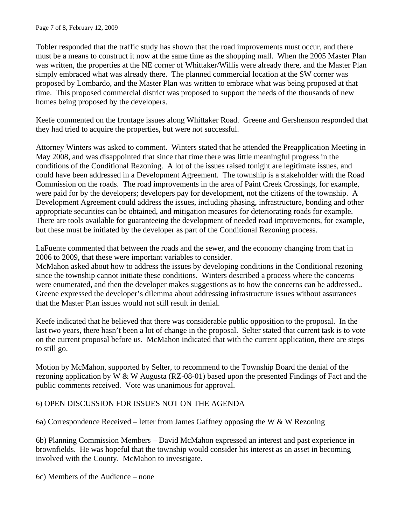Tobler responded that the traffic study has shown that the road improvements must occur, and there must be a means to construct it now at the same time as the shopping mall. When the 2005 Master Plan was written, the properties at the NE corner of Whittaker/Willis were already there, and the Master Plan simply embraced what was already there. The planned commercial location at the SW corner was proposed by Lombardo, and the Master Plan was written to embrace what was being proposed at that time. This proposed commercial district was proposed to support the needs of the thousands of new homes being proposed by the developers.

Keefe commented on the frontage issues along Whittaker Road. Greene and Gershenson responded that they had tried to acquire the properties, but were not successful.

Attorney Winters was asked to comment. Winters stated that he attended the Preapplication Meeting in May 2008, and was disappointed that since that time there was little meaningful progress in the conditions of the Conditional Rezoning. A lot of the issues raised tonight are legitimate issues, and could have been addressed in a Development Agreement. The township is a stakeholder with the Road Commission on the roads. The road improvements in the area of Paint Creek Crossings, for example, were paid for by the developers; developers pay for development, not the citizens of the township. A Development Agreement could address the issues, including phasing, infrastructure, bonding and other appropriate securities can be obtained, and mitigation measures for deteriorating roads for example. There are tools available for guaranteeing the development of needed road improvements, for example, but these must be initiated by the developer as part of the Conditional Rezoning process.

LaFuente commented that between the roads and the sewer, and the economy changing from that in 2006 to 2009, that these were important variables to consider.

McMahon asked about how to address the issues by developing conditions in the Conditional rezoning since the township cannot initiate these conditions. Winters described a process where the concerns were enumerated, and then the developer makes suggestions as to how the concerns can be addressed.. Greene expressed the developer's dilemma about addressing infrastructure issues without assurances that the Master Plan issues would not still result in denial.

Keefe indicated that he believed that there was considerable public opposition to the proposal. In the last two years, there hasn't been a lot of change in the proposal. Selter stated that current task is to vote on the current proposal before us. McMahon indicated that with the current application, there are steps to still go.

Motion by McMahon, supported by Selter, to recommend to the Township Board the denial of the rezoning application by W & W Augusta (RZ-08-01) based upon the presented Findings of Fact and the public comments received. Vote was unanimous for approval.

### 6) OPEN DISCUSSION FOR ISSUES NOT ON THE AGENDA

6a) Correspondence Received – letter from James Gaffney opposing the W & W Rezoning

6b) Planning Commission Members – David McMahon expressed an interest and past experience in brownfields. He was hopeful that the township would consider his interest as an asset in becoming involved with the County. McMahon to investigate.

6c) Members of the Audience – none